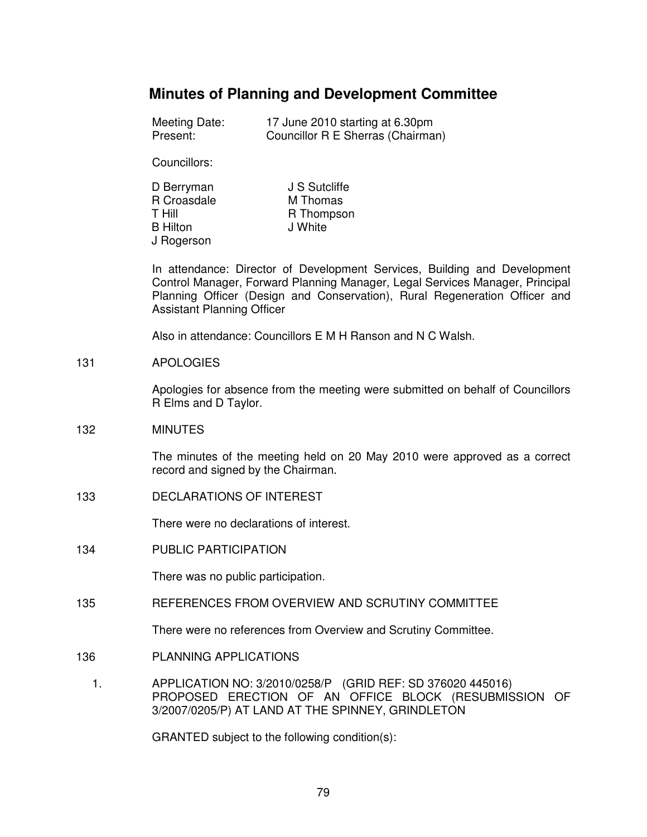# **Minutes of Planning and Development Committee**

| Meeting Date: | 17 June 2010 starting at 6.30pm   |
|---------------|-----------------------------------|
| Present:      | Councillor R E Sherras (Chairman) |

Councillors:

| D Berryman      | J S Sutcliffe |
|-----------------|---------------|
| R Croasdale     | M Thomas      |
| T Hill          | R Thompson    |
| <b>B</b> Hilton | J White       |
| J Rogerson      |               |

In attendance: Director of Development Services, Building and Development Control Manager, Forward Planning Manager, Legal Services Manager, Principal Planning Officer (Design and Conservation), Rural Regeneration Officer and Assistant Planning Officer

Also in attendance: Councillors E M H Ranson and N C Walsh.

### 131 APOLOGIES

Apologies for absence from the meeting were submitted on behalf of Councillors R Elms and D Taylor.

# 132 MINUTES

The minutes of the meeting held on 20 May 2010 were approved as a correct record and signed by the Chairman.

133 DECLARATIONS OF INTEREST

There were no declarations of interest.

134 PUBLIC PARTICIPATION

There was no public participation.

135 REFERENCES FROM OVERVIEW AND SCRUTINY COMMITTEE

There were no references from Overview and Scrutiny Committee.

- 136 PLANNING APPLICATIONS
	- 1. APPLICATION NO: 3/2010/0258/P (GRID REF: SD 376020 445016) PROPOSED ERECTION OF AN OFFICE BLOCK (RESUBMISSION OF 3/2007/0205/P) AT LAND AT THE SPINNEY, GRINDLETON

GRANTED subject to the following condition(s):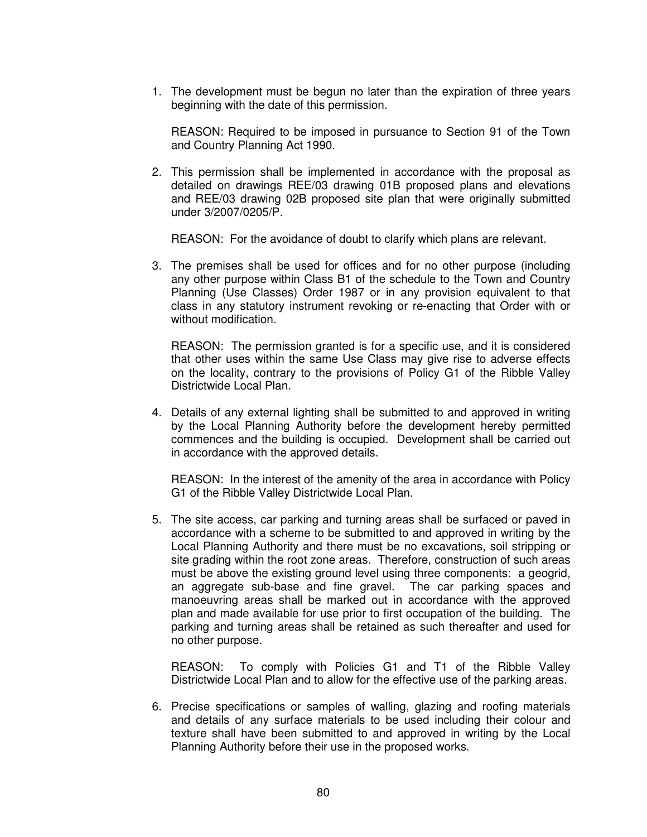1. The development must be begun no later than the expiration of three years beginning with the date of this permission.

 REASON: Required to be imposed in pursuance to Section 91 of the Town and Country Planning Act 1990.

2. This permission shall be implemented in accordance with the proposal as detailed on drawings REE/03 drawing 01B proposed plans and elevations and REE/03 drawing 02B proposed site plan that were originally submitted under 3/2007/0205/P.

REASON: For the avoidance of doubt to clarify which plans are relevant.

3. The premises shall be used for offices and for no other purpose (including any other purpose within Class B1 of the schedule to the Town and Country Planning (Use Classes) Order 1987 or in any provision equivalent to that class in any statutory instrument revoking or re-enacting that Order with or without modification.

 REASON: The permission granted is for a specific use, and it is considered that other uses within the same Use Class may give rise to adverse effects on the locality, contrary to the provisions of Policy G1 of the Ribble Valley Districtwide Local Plan.

4. Details of any external lighting shall be submitted to and approved in writing by the Local Planning Authority before the development hereby permitted commences and the building is occupied. Development shall be carried out in accordance with the approved details.

 REASON: In the interest of the amenity of the area in accordance with Policy G1 of the Ribble Valley Districtwide Local Plan.

5. The site access, car parking and turning areas shall be surfaced or paved in accordance with a scheme to be submitted to and approved in writing by the Local Planning Authority and there must be no excavations, soil stripping or site grading within the root zone areas. Therefore, construction of such areas must be above the existing ground level using three components: a geogrid, an aggregate sub-base and fine gravel. The car parking spaces and manoeuvring areas shall be marked out in accordance with the approved plan and made available for use prior to first occupation of the building. The parking and turning areas shall be retained as such thereafter and used for no other purpose.

 REASON: To comply with Policies G1 and T1 of the Ribble Valley Districtwide Local Plan and to allow for the effective use of the parking areas.

6. Precise specifications or samples of walling, glazing and roofing materials and details of any surface materials to be used including their colour and texture shall have been submitted to and approved in writing by the Local Planning Authority before their use in the proposed works.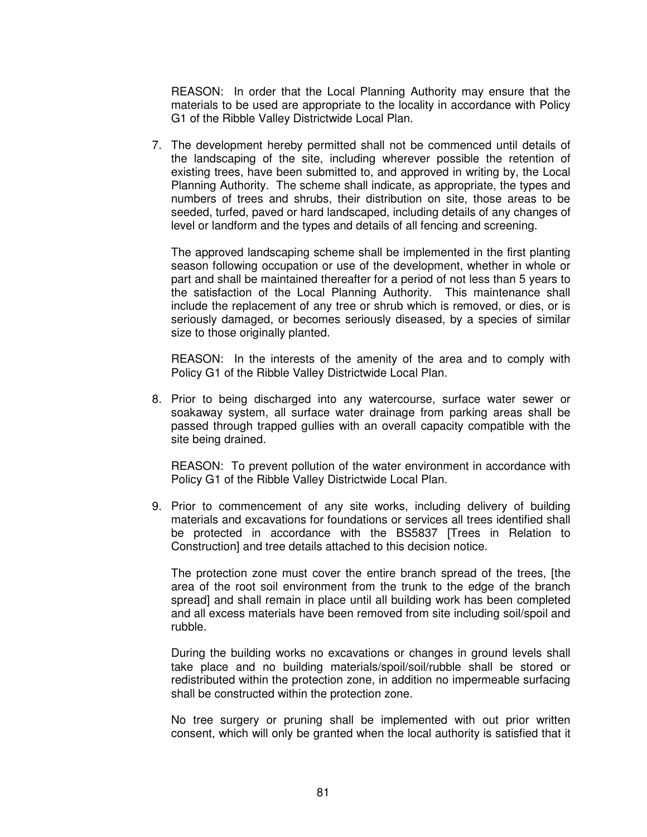REASON: In order that the Local Planning Authority may ensure that the materials to be used are appropriate to the locality in accordance with Policy G1 of the Ribble Valley Districtwide Local Plan.

7. The development hereby permitted shall not be commenced until details of the landscaping of the site, including wherever possible the retention of existing trees, have been submitted to, and approved in writing by, the Local Planning Authority. The scheme shall indicate, as appropriate, the types and numbers of trees and shrubs, their distribution on site, those areas to be seeded, turfed, paved or hard landscaped, including details of any changes of level or landform and the types and details of all fencing and screening.

 The approved landscaping scheme shall be implemented in the first planting season following occupation or use of the development, whether in whole or part and shall be maintained thereafter for a period of not less than 5 years to the satisfaction of the Local Planning Authority. This maintenance shall include the replacement of any tree or shrub which is removed, or dies, or is seriously damaged, or becomes seriously diseased, by a species of similar size to those originally planted.

 REASON: In the interests of the amenity of the area and to comply with Policy G1 of the Ribble Valley Districtwide Local Plan.

8. Prior to being discharged into any watercourse, surface water sewer or soakaway system, all surface water drainage from parking areas shall be passed through trapped gullies with an overall capacity compatible with the site being drained.

 REASON: To prevent pollution of the water environment in accordance with Policy G1 of the Ribble Valley Districtwide Local Plan.

9. Prior to commencement of any site works, including delivery of building materials and excavations for foundations or services all trees identified shall be protected in accordance with the BS5837 [Trees in Relation to Construction] and tree details attached to this decision notice.

 The protection zone must cover the entire branch spread of the trees, [the area of the root soil environment from the trunk to the edge of the branch spread] and shall remain in place until all building work has been completed and all excess materials have been removed from site including soil/spoil and rubble.

 During the building works no excavations or changes in ground levels shall take place and no building materials/spoil/soil/rubble shall be stored or redistributed within the protection zone, in addition no impermeable surfacing shall be constructed within the protection zone.

 No tree surgery or pruning shall be implemented with out prior written consent, which will only be granted when the local authority is satisfied that it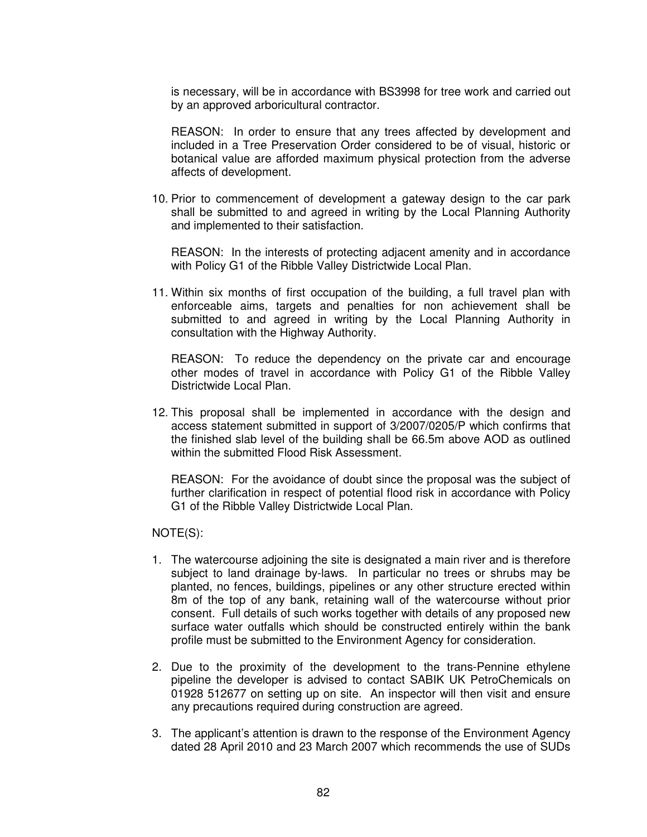is necessary, will be in accordance with BS3998 for tree work and carried out by an approved arboricultural contractor.

 REASON: In order to ensure that any trees affected by development and included in a Tree Preservation Order considered to be of visual, historic or botanical value are afforded maximum physical protection from the adverse affects of development.

10. Prior to commencement of development a gateway design to the car park shall be submitted to and agreed in writing by the Local Planning Authority and implemented to their satisfaction.

 REASON: In the interests of protecting adjacent amenity and in accordance with Policy G1 of the Ribble Valley Districtwide Local Plan.

11. Within six months of first occupation of the building, a full travel plan with enforceable aims, targets and penalties for non achievement shall be submitted to and agreed in writing by the Local Planning Authority in consultation with the Highway Authority.

 REASON: To reduce the dependency on the private car and encourage other modes of travel in accordance with Policy G1 of the Ribble Valley Districtwide Local Plan.

12. This proposal shall be implemented in accordance with the design and access statement submitted in support of 3/2007/0205/P which confirms that the finished slab level of the building shall be 66.5m above AOD as outlined within the submitted Flood Risk Assessment.

 REASON: For the avoidance of doubt since the proposal was the subject of further clarification in respect of potential flood risk in accordance with Policy G1 of the Ribble Valley Districtwide Local Plan.

NOTE(S):

- 1. The watercourse adjoining the site is designated a main river and is therefore subject to land drainage by-laws. In particular no trees or shrubs may be planted, no fences, buildings, pipelines or any other structure erected within 8m of the top of any bank, retaining wall of the watercourse without prior consent. Full details of such works together with details of any proposed new surface water outfalls which should be constructed entirely within the bank profile must be submitted to the Environment Agency for consideration.
- 2. Due to the proximity of the development to the trans-Pennine ethylene pipeline the developer is advised to contact SABIK UK PetroChemicals on 01928 512677 on setting up on site. An inspector will then visit and ensure any precautions required during construction are agreed.
- 3. The applicant's attention is drawn to the response of the Environment Agency dated 28 April 2010 and 23 March 2007 which recommends the use of SUDs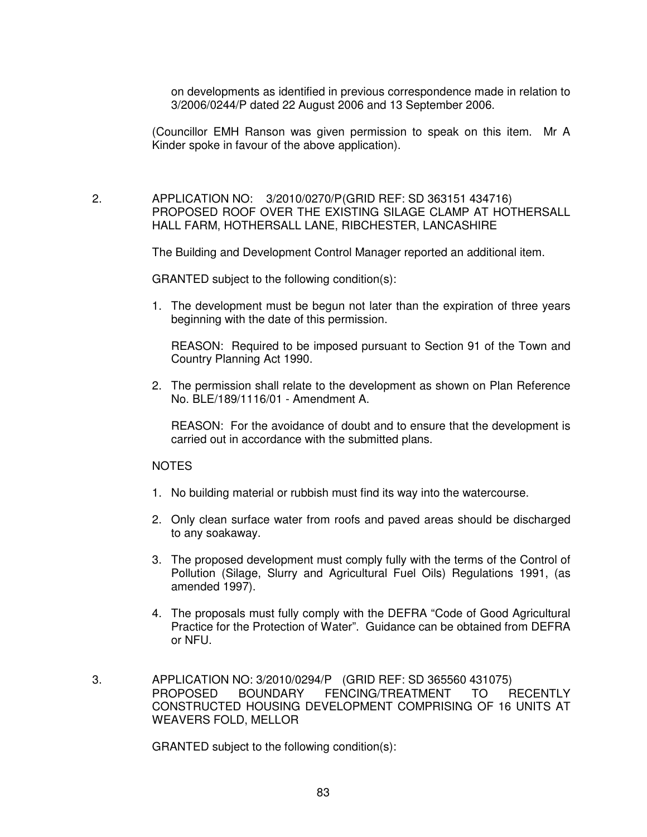on developments as identified in previous correspondence made in relation to 3/2006/0244/P dated 22 August 2006 and 13 September 2006.

(Councillor EMH Ranson was given permission to speak on this item. Mr A Kinder spoke in favour of the above application).

 2. APPLICATION NO: 3/2010/0270/P (GRID REF: SD 363151 434716) PROPOSED ROOF OVER THE EXISTING SILAGE CLAMP AT HOTHERSALL HALL FARM, HOTHERSALL LANE, RIBCHESTER, LANCASHIRE

The Building and Development Control Manager reported an additional item.

GRANTED subject to the following condition(s):

1. The development must be begun not later than the expiration of three years beginning with the date of this permission.

 REASON: Required to be imposed pursuant to Section 91 of the Town and Country Planning Act 1990.

2. The permission shall relate to the development as shown on Plan Reference No. BLE/189/1116/01 - Amendment A.

 REASON: For the avoidance of doubt and to ensure that the development is carried out in accordance with the submitted plans.

# **NOTES**

- 1. No building material or rubbish must find its way into the watercourse.
- 2. Only clean surface water from roofs and paved areas should be discharged to any soakaway.
- 3. The proposed development must comply fully with the terms of the Control of Pollution (Silage, Slurry and Agricultural Fuel Oils) Regulations 1991, (as amended 1997).
- 4. The proposals must fully comply with the DEFRA "Code of Good Agricultural Practice for the Protection of Water". Guidance can be obtained from DEFRA or NFU.
- 3. APPLICATION NO: 3/2010/0294/P (GRID REF: SD 365560 431075) PROPOSED BOUNDARY FENCING/TREATMENT TO RECENTLY CONSTRUCTED HOUSING DEVELOPMENT COMPRISING OF 16 UNITS AT WEAVERS FOLD, MELLOR

GRANTED subject to the following condition(s):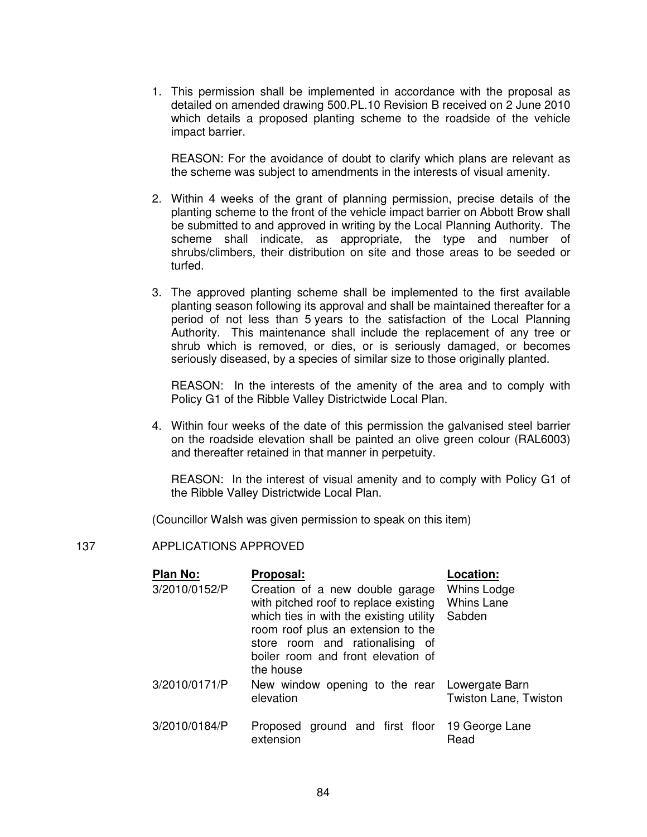1. This permission shall be implemented in accordance with the proposal as detailed on amended drawing 500.PL.10 Revision B received on 2 June 2010 which details a proposed planting scheme to the roadside of the vehicle impact barrier.

 REASON: For the avoidance of doubt to clarify which plans are relevant as the scheme was subject to amendments in the interests of visual amenity.

- 2. Within 4 weeks of the grant of planning permission, precise details of the planting scheme to the front of the vehicle impact barrier on Abbott Brow shall be submitted to and approved in writing by the Local Planning Authority. The scheme shall indicate, as appropriate, the type and number of shrubs/climbers, their distribution on site and those areas to be seeded or turfed.
- 3. The approved planting scheme shall be implemented to the first available planting season following its approval and shall be maintained thereafter for a period of not less than 5 years to the satisfaction of the Local Planning Authority. This maintenance shall include the replacement of any tree or shrub which is removed, or dies, or is seriously damaged, or becomes seriously diseased, by a species of similar size to those originally planted.

 REASON: In the interests of the amenity of the area and to comply with Policy G1 of the Ribble Valley Districtwide Local Plan.

4. Within four weeks of the date of this permission the galvanised steel barrier on the roadside elevation shall be painted an olive green colour (RAL6003) and thereafter retained in that manner in perpetuity.

 REASON: In the interest of visual amenity and to comply with Policy G1 of the Ribble Valley Districtwide Local Plan.

(Councillor Walsh was given permission to speak on this item)

# 137 APPLICATIONS APPROVED

| Plan No:      | Proposal:                                                                                                                                                 | <b>Location:</b>                           |
|---------------|-----------------------------------------------------------------------------------------------------------------------------------------------------------|--------------------------------------------|
| 3/2010/0152/P | Creation of a new double garage<br>with pitched roof to replace existing<br>which ties in with the existing utility<br>room roof plus an extension to the | Whins Lodge<br><b>Whins Lane</b><br>Sabden |
|               | store room and rationalising of<br>boiler room and front elevation of<br>the house                                                                        |                                            |
| 3/2010/0171/P | New window opening to the rear Lowergate Barn<br>elevation                                                                                                | <b>Twiston Lane, Twiston</b>               |
| 3/2010/0184/P | Proposed ground and first floor<br>extension                                                                                                              | 19 George Lane<br>Read                     |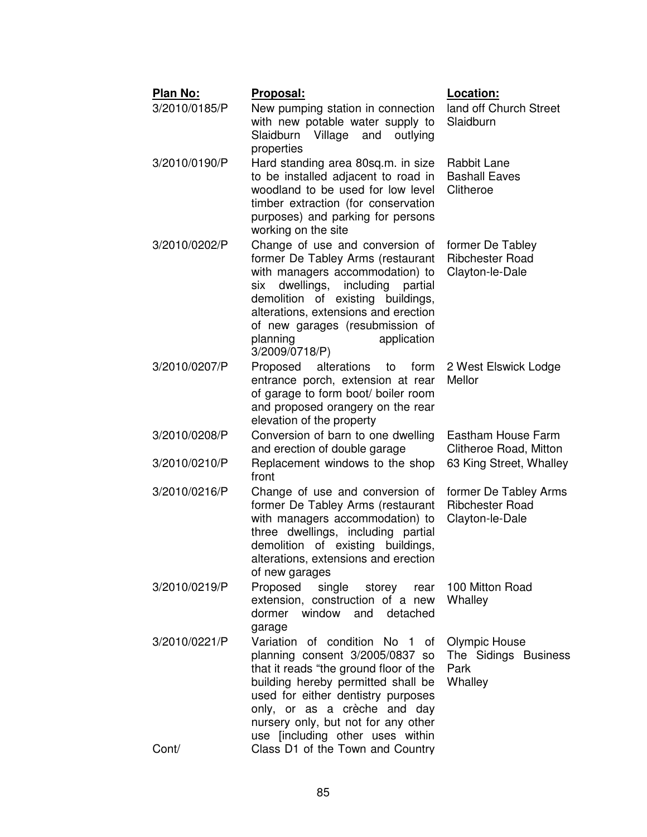| Plan No:               | Proposal:                                                                                                                                                                                                                                                                                                                              | Location:                                                          |
|------------------------|----------------------------------------------------------------------------------------------------------------------------------------------------------------------------------------------------------------------------------------------------------------------------------------------------------------------------------------|--------------------------------------------------------------------|
| 3/2010/0185/P          | New pumping station in connection<br>with new potable water supply to<br>Slaidburn Village<br>and<br>outlying<br>properties                                                                                                                                                                                                            | land off Church Street<br>Slaidburn                                |
| 3/2010/0190/P          | Hard standing area 80sq.m. in size<br>to be installed adjacent to road in<br>woodland to be used for low level<br>timber extraction (for conservation<br>purposes) and parking for persons<br>working on the site                                                                                                                      | Rabbit Lane<br><b>Bashall Eaves</b><br>Clitheroe                   |
| 3/2010/0202/P          | Change of use and conversion of<br>former De Tabley Arms (restaurant<br>with managers accommodation) to<br>dwellings,<br>partial<br>six<br>including<br>demolition of existing buildings,<br>alterations, extensions and erection<br>of new garages (resubmission of<br>planning<br>application<br>3/2009/0718/P)                      | former De Tabley<br><b>Ribchester Road</b><br>Clayton-le-Dale      |
| 3/2010/0207/P          | Proposed<br>alterations<br>form<br>to<br>entrance porch, extension at rear<br>of garage to form boot/ boiler room<br>and proposed orangery on the rear<br>elevation of the property                                                                                                                                                    | 2 West Elswick Lodge<br>Mellor                                     |
| 3/2010/0208/P          | Conversion of barn to one dwelling<br>and erection of double garage                                                                                                                                                                                                                                                                    | Eastham House Farm<br>Clitheroe Road, Mitton                       |
| 3/2010/0210/P          | Replacement windows to the shop<br>front                                                                                                                                                                                                                                                                                               | 63 King Street, Whalley                                            |
| 3/2010/0216/P          | Change of use and conversion of<br>former De Tabley Arms (restaurant<br>with managers accommodation) to<br>three dwellings, including partial<br>demolition of existing buildings,<br>alterations, extensions and erection<br>of new garages                                                                                           | former De Tabley Arms<br><b>Ribchester Road</b><br>Clayton-le-Dale |
| 3/2010/0219/P          | Proposed single<br>extension, construction of a new<br>dormer window and detached<br>garage                                                                                                                                                                                                                                            | storey rear 100 Mitton Road<br>Whalley                             |
| 3/2010/0221/P<br>Cont/ | Variation of condition No 1 of<br>planning consent 3/2005/0837 so<br>that it reads "the ground floor of the<br>building hereby permitted shall be<br>used for either dentistry purposes<br>only, or as a crèche and day<br>nursery only, but not for any other<br>use [including other uses within<br>Class D1 of the Town and Country | <b>Olympic House</b><br>The Sidings Business<br>Park<br>Whalley    |
|                        |                                                                                                                                                                                                                                                                                                                                        |                                                                    |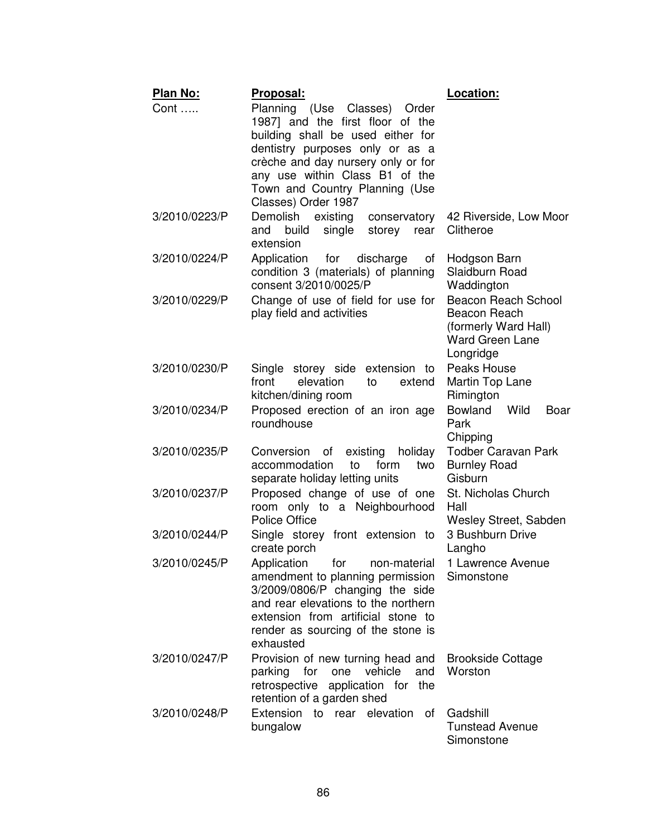| <b>Plan No:</b> | Proposal:                                                                                                                                                                                                                                                                 | Location:                                                                                          |
|-----------------|---------------------------------------------------------------------------------------------------------------------------------------------------------------------------------------------------------------------------------------------------------------------------|----------------------------------------------------------------------------------------------------|
| Cont            | Planning (Use Classes) Order<br>1987] and the first floor of the<br>building shall be used either for<br>dentistry purposes only or as a<br>crèche and day nursery only or for<br>any use within Class B1 of the<br>Town and Country Planning (Use<br>Classes) Order 1987 |                                                                                                    |
| 3/2010/0223/P   | Demolish<br>existing<br>conservatory<br>build<br>single<br>storey rear<br>and<br>extension                                                                                                                                                                                | 42 Riverside, Low Moor<br>Clitheroe                                                                |
| 3/2010/0224/P   | Application<br>for<br>discharge<br>of<br>condition 3 (materials) of planning<br>consent 3/2010/0025/P                                                                                                                                                                     | Hodgson Barn<br>Slaidburn Road<br>Waddington                                                       |
| 3/2010/0229/P   | Change of use of field for use for<br>play field and activities                                                                                                                                                                                                           | Beacon Reach School<br>Beacon Reach<br>(formerly Ward Hall)<br><b>Ward Green Lane</b><br>Longridge |
| 3/2010/0230/P   | Single storey side extension to<br>front<br>elevation<br>extend<br>to<br>kitchen/dining room                                                                                                                                                                              | Peaks House<br>Martin Top Lane<br>Rimington                                                        |
| 3/2010/0234/P   | Proposed erection of an iron age<br>roundhouse                                                                                                                                                                                                                            | Bowland<br>Wild<br>Boar<br>Park<br>Chipping                                                        |
| 3/2010/0235/P   | Conversion of<br>existing<br>holiday<br>accommodation<br>to<br>form<br>two<br>separate holiday letting units                                                                                                                                                              | <b>Todber Caravan Park</b><br><b>Burnley Road</b><br>Gisburn                                       |
| 3/2010/0237/P   | Proposed change of use of one<br>room only to a Neighbourhood<br><b>Police Office</b>                                                                                                                                                                                     | St. Nicholas Church<br>Hall<br>Wesley Street, Sabden                                               |
| 3/2010/0244/P   | Single storey front extension to<br>create porch                                                                                                                                                                                                                          | 3 Bushburn Drive<br>Langho                                                                         |
| 3/2010/0245/P   | Application for non-material<br>amendment to planning permission<br>3/2009/0806/P changing the side<br>and rear elevations to the northern<br>extension from artificial stone to<br>render as sourcing of the stone is<br>exhausted                                       | 1 Lawrence Avenue<br>Simonstone                                                                    |
| 3/2010/0247/P   | Provision of new turning head and<br>one<br>vehicle<br>and<br>parking<br>for<br>retrospective application for the<br>retention of a garden shed                                                                                                                           | <b>Brookside Cottage</b><br>Worston                                                                |
| 3/2010/0248/P   | Extension to rear elevation of<br>bungalow                                                                                                                                                                                                                                | Gadshill<br><b>Tunstead Avenue</b><br>Simonstone                                                   |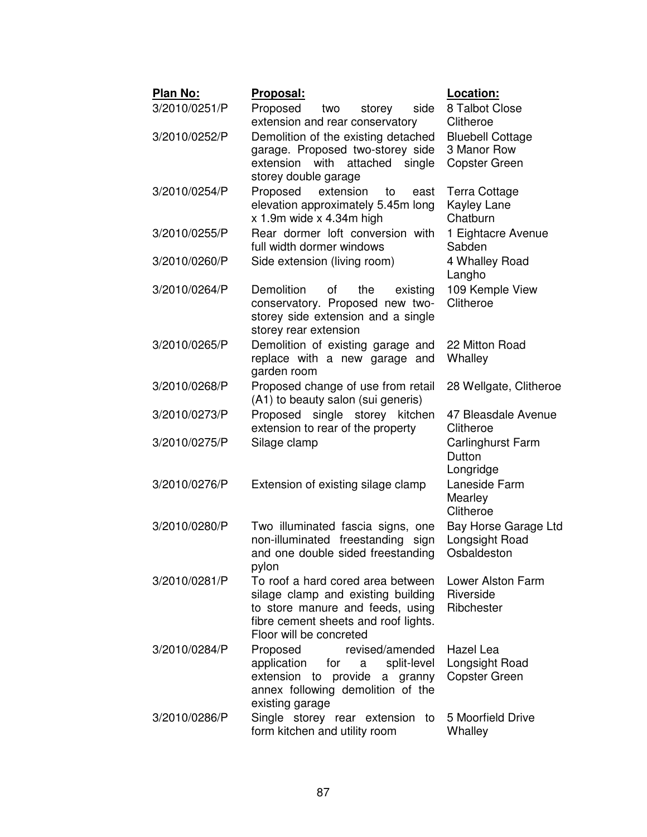| Plan No:      | <u> Proposal:</u>                                                         | Location:                     |
|---------------|---------------------------------------------------------------------------|-------------------------------|
| 3/2010/0251/P | Proposed<br>side<br>storey<br>two                                         | 8 Talbot Close                |
|               | extension and rear conservatory                                           | Clitheroe                     |
| 3/2010/0252/P | Demolition of the existing detached                                       | <b>Bluebell Cottage</b>       |
|               | garage. Proposed two-storey side                                          | 3 Manor Row                   |
|               | with<br>attached<br>extension<br>single                                   | <b>Copster Green</b>          |
|               | storey double garage                                                      |                               |
| 3/2010/0254/P | Proposed<br>extension<br>to<br>east                                       | Terra Cottage<br>Kayley Lane  |
|               | elevation approximately 5.45m long<br>$x$ 1.9m wide $x$ 4.34m high        | Chatburn                      |
| 3/2010/0255/P | Rear dormer loft conversion with                                          | 1 Eightacre Avenue            |
|               | full width dormer windows                                                 | Sabden                        |
| 3/2010/0260/P | Side extension (living room)                                              | 4 Whalley Road                |
|               |                                                                           | Langho                        |
| 3/2010/0264/P | Demolition<br>οf<br>the<br>existing                                       | 109 Kemple View               |
|               | conservatory. Proposed new two-                                           | Clitheroe                     |
|               | storey side extension and a single                                        |                               |
|               | storey rear extension                                                     |                               |
| 3/2010/0265/P | Demolition of existing garage and                                         | 22 Mitton Road                |
|               | replace with a new garage and<br>garden room                              | Whalley                       |
| 3/2010/0268/P | Proposed change of use from retail                                        | 28 Wellgate, Clitheroe        |
|               | (A1) to beauty salon (sui generis)                                        |                               |
| 3/2010/0273/P | Proposed single storey<br>kitchen                                         | 47 Bleasdale Avenue           |
|               | extension to rear of the property                                         | Clitheroe                     |
| 3/2010/0275/P | Silage clamp                                                              | Carlinghurst Farm             |
|               |                                                                           | Dutton                        |
|               |                                                                           | Longridge                     |
| 3/2010/0276/P | Extension of existing silage clamp                                        | Laneside Farm                 |
|               |                                                                           | Mearley                       |
|               |                                                                           | Clitheroe                     |
| 3/2010/0280/P | Two illuminated fascia signs, one                                         | Bay Horse Garage Ltd          |
|               | non-illuminated freestanding<br>sign<br>and one double sided freestanding | Longsight Road<br>Osbaldeston |
|               | pylon                                                                     |                               |
| 3/2010/0281/P | To roof a hard cored area between                                         | Lower Alston Farm             |
|               | silage clamp and existing building                                        | Riverside                     |
|               | to store manure and feeds, using                                          | Ribchester                    |
|               | fibre cement sheets and roof lights.                                      |                               |
|               | Floor will be concreted                                                   |                               |
| 3/2010/0284/P | revised/amended<br>Proposed                                               | Hazel Lea                     |
|               | application<br>split-level<br>for<br>a                                    | Longsight Road                |
|               | extension to provide a granny<br>annex following demolition of the        | <b>Copster Green</b>          |
|               | existing garage                                                           |                               |
| 3/2010/0286/P | Single storey rear extension to                                           | 5 Moorfield Drive             |
|               | form kitchen and utility room                                             | Whalley                       |
|               |                                                                           |                               |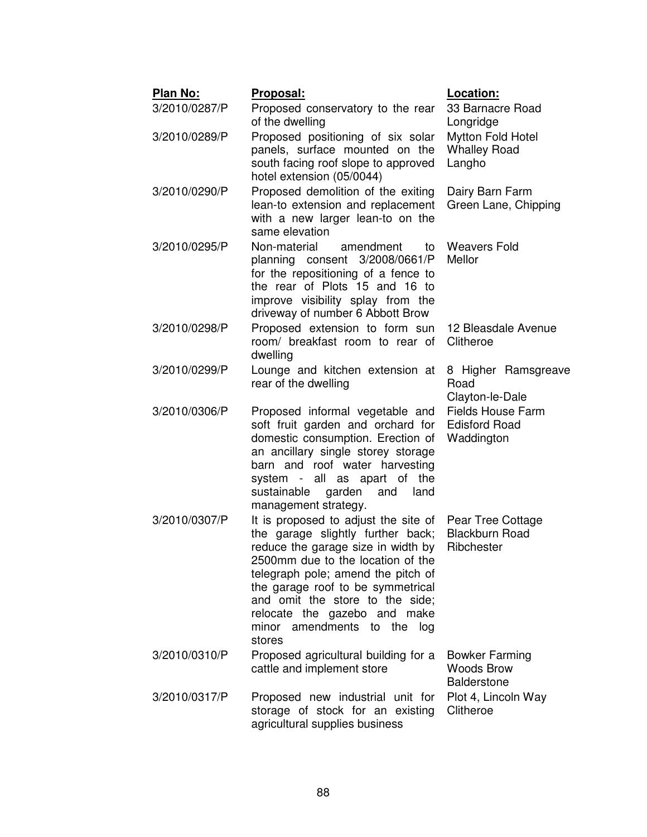| <b>Plan No:</b> | Proposal:                                                               | Location:                                        |
|-----------------|-------------------------------------------------------------------------|--------------------------------------------------|
| 3/2010/0287/P   | Proposed conservatory to the rear                                       | 33 Barnacre Road                                 |
|                 | of the dwelling                                                         | Longridge                                        |
| 3/2010/0289/P   | Proposed positioning of six solar                                       | Mytton Fold Hotel                                |
|                 | panels, surface mounted on the<br>south facing roof slope to approved   | <b>Whalley Road</b><br>Langho                    |
|                 | hotel extension (05/0044)                                               |                                                  |
| 3/2010/0290/P   | Proposed demolition of the exiting                                      | Dairy Barn Farm                                  |
|                 | lean-to extension and replacement                                       | Green Lane, Chipping                             |
|                 | with a new larger lean-to on the                                        |                                                  |
|                 | same elevation                                                          |                                                  |
| 3/2010/0295/P   | Non-material<br>amendment<br>to<br>planning consent 3/2008/0661/P       | <b>Weavers Fold</b><br>Mellor                    |
|                 | for the repositioning of a fence to                                     |                                                  |
|                 | the rear of Plots 15 and 16 to                                          |                                                  |
|                 | improve visibility splay from the                                       |                                                  |
|                 | driveway of number 6 Abbott Brow                                        |                                                  |
| 3/2010/0298/P   | Proposed extension to form sun<br>room/ breakfast room to rear of       | 12 Bleasdale Avenue<br>Clitheroe                 |
|                 | dwelling                                                                |                                                  |
| 3/2010/0299/P   | Lounge and kitchen extension at                                         | 8 Higher Ramsgreave                              |
|                 | rear of the dwelling                                                    | Road                                             |
|                 |                                                                         | Clayton-le-Dale                                  |
| 3/2010/0306/P   | Proposed informal vegetable and<br>soft fruit garden and orchard for    | <b>Fields House Farm</b><br><b>Edisford Road</b> |
|                 | domestic consumption. Erection of                                       | Waddington                                       |
|                 | an ancillary single storey storage                                      |                                                  |
|                 | barn and roof water harvesting                                          |                                                  |
|                 | system - all as apart of the                                            |                                                  |
|                 | sustainable<br>garden<br>and<br>land<br>management strategy.            |                                                  |
| 3/2010/0307/P   | It is proposed to adjust the site of                                    | Pear Tree Cottage                                |
|                 | the garage slightly further back;                                       | <b>Blackburn Road</b>                            |
|                 | reduce the garage size in width by                                      | Ribchester                                       |
|                 | 2500mm due to the location of the                                       |                                                  |
|                 | telegraph pole; amend the pitch of<br>the garage roof to be symmetrical |                                                  |
|                 | and omit the store to the side;                                         |                                                  |
|                 | relocate the gazebo and make                                            |                                                  |
|                 | minor amendments to the<br>log                                          |                                                  |
|                 | stores                                                                  |                                                  |
| 3/2010/0310/P   | Proposed agricultural building for a<br>cattle and implement store      | <b>Bowker Farming</b><br><b>Woods Brow</b>       |
|                 |                                                                         | <b>Balderstone</b>                               |
| 3/2010/0317/P   | Proposed new industrial unit for                                        | Plot 4, Lincoln Way                              |
|                 | storage of stock for an existing                                        | Clitheroe                                        |
|                 | agricultural supplies business                                          |                                                  |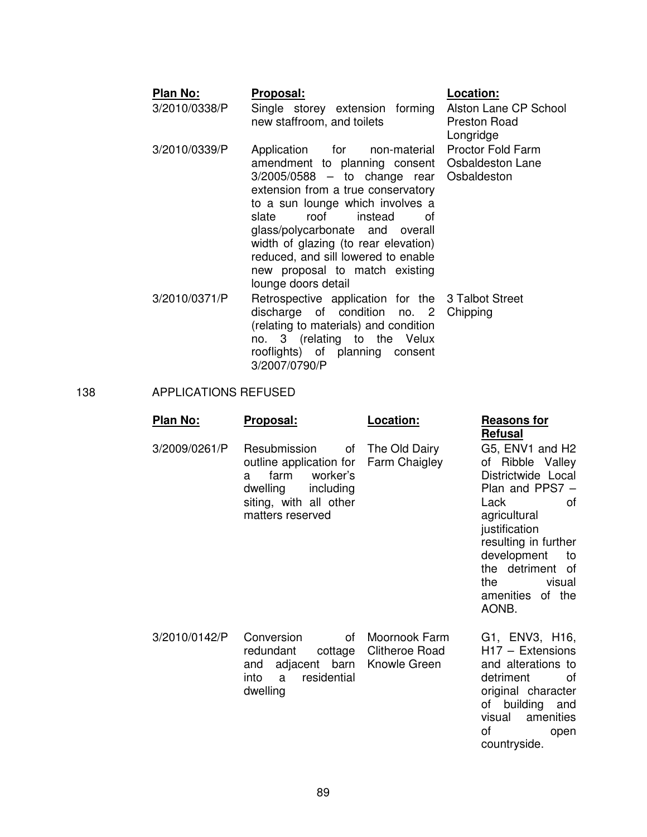#### Plan No: Proposal: **Proposal:** Location: 3/2010/0338/P Single storey extension forming new staffroom, and toilets Alston Lane CP School Preston Road Longridge 3/2010/0339/P Application for non-material amendment to planning consent 3/2005/0588 – to change rear extension from a true conservatory to a sun lounge which involves a Proctor Fold Farm Osbaldeston Lane **Osbaldeston**

slate roof instead of glass/polycarbonate and overall width of glazing (to rear elevation) reduced, and sill lowered to enable new proposal to match existing

discharge of condition no. 2 Chipping

(relating to materials) and condition no. 3 (relating to the Velux rooflights) of planning consent 3/2007/0790/P

lounge doors detail

3/2010/0371/P Retrospective application for the 3 Talbot Street

# 138 APPLICATIONS REFUSED

| Plan No:      | Proposal:                                                                                                                               | Location:                                               | <b>Reasons for</b><br>Refusal                                                                                                                                                                                                              |
|---------------|-----------------------------------------------------------------------------------------------------------------------------------------|---------------------------------------------------------|--------------------------------------------------------------------------------------------------------------------------------------------------------------------------------------------------------------------------------------------|
| 3/2009/0261/P | Resubmission<br>outline application for<br>farm<br>worker's<br>a<br>dwelling<br>including<br>siting, with all other<br>matters reserved | of The Old Dairy<br>Farm Chaigley                       | G5, ENV1 and H2<br>of Ribble Valley<br>Districtwide Local<br>Plan and PPS7 -<br>Lack<br>οf<br>agricultural<br>justification<br>resulting in further<br>development<br>to<br>the detriment of<br>the<br>visual<br>amenities of the<br>AONB. |
| 3/2010/0142/P | Conversion<br>of<br>redundant<br>adjacent barn<br>and<br>residential<br>a<br>into<br>dwelling                                           | Moornook Farm<br>cottage Clitheroe Road<br>Knowle Green | G1, ENV3, H16,<br>$H17 - Extensions$<br>and alterations to<br>detriment<br>οf<br>original character<br>of building<br>and<br>amenities<br>visual<br>οf<br>open<br>countryside.                                                             |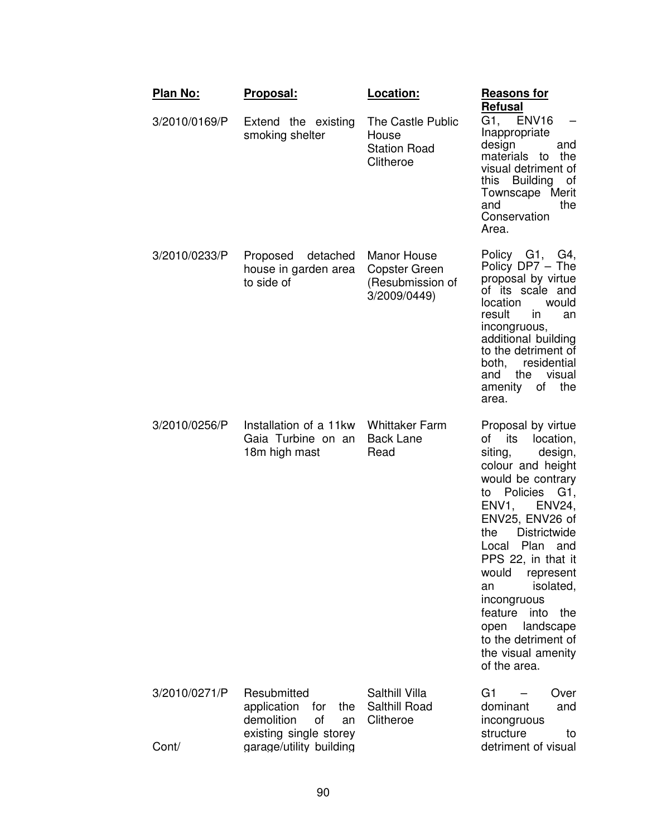| <b>Plan No:</b>        | Proposal:                                                                                                               | Location:                                                               | <b>Reasons for</b><br><b>Refusal</b>                                                                                                                                                                                                                                                                                                                                                                                               |
|------------------------|-------------------------------------------------------------------------------------------------------------------------|-------------------------------------------------------------------------|------------------------------------------------------------------------------------------------------------------------------------------------------------------------------------------------------------------------------------------------------------------------------------------------------------------------------------------------------------------------------------------------------------------------------------|
| 3/2010/0169/P          | Extend the existing<br>smoking shelter                                                                                  | The Castle Public<br>House<br><b>Station Road</b><br>Clitheroe          | G1, ENV16<br>Inappropriate<br>design<br>and<br>the<br>materials<br>to<br>visual detriment of<br>this Building<br>of<br>Townscape Merit<br>the<br>and<br>Conservation<br>Area.                                                                                                                                                                                                                                                      |
| 3/2010/0233/P          | Proposed<br>detached<br>house in garden area<br>to side of                                                              | Manor House<br><b>Copster Green</b><br>(Resubmission of<br>3/2009/0449) | Policy G1, G4,<br>Policy DP7 - The<br>proposal by virtue<br>of its scale and<br>location<br>would<br>result<br>in.<br>an<br>incongruous,<br>additional building<br>to the detriment of<br>residential<br>both,<br>visual<br>the<br>and<br>amenity<br>of<br>the<br>area.                                                                                                                                                            |
| 3/2010/0256/P          | Installation of a 11kw<br>Gaia Turbine on an<br>18m high mast                                                           | <b>Whittaker Farm</b><br><b>Back Lane</b><br>Read                       | Proposal by virtue<br>its<br>of<br>location,<br>siting,<br>design,<br>colour and height<br>would be contrary<br>Policies<br>G1,<br>to<br>ENV1,<br><b>ENV24,</b><br>ENV25, ENV26 of<br><b>Districtwide</b><br>the<br>Plan<br>Local<br>and<br>PPS 22, in that it<br>would<br>represent<br>isolated,<br>an<br>incongruous<br>feature<br>into<br>the<br>landscape<br>open<br>to the detriment of<br>the visual amenity<br>of the area. |
| 3/2010/0271/P<br>Cont/ | Resubmitted<br>application<br>the<br>for<br>demolition<br>οf<br>an<br>existing single storey<br>garage/utility building | Salthill Villa<br>Salthill Road<br>Clitheroe                            | G <sub>1</sub><br>Over<br>dominant<br>and<br>incongruous<br>structure<br>to<br>detriment of visual                                                                                                                                                                                                                                                                                                                                 |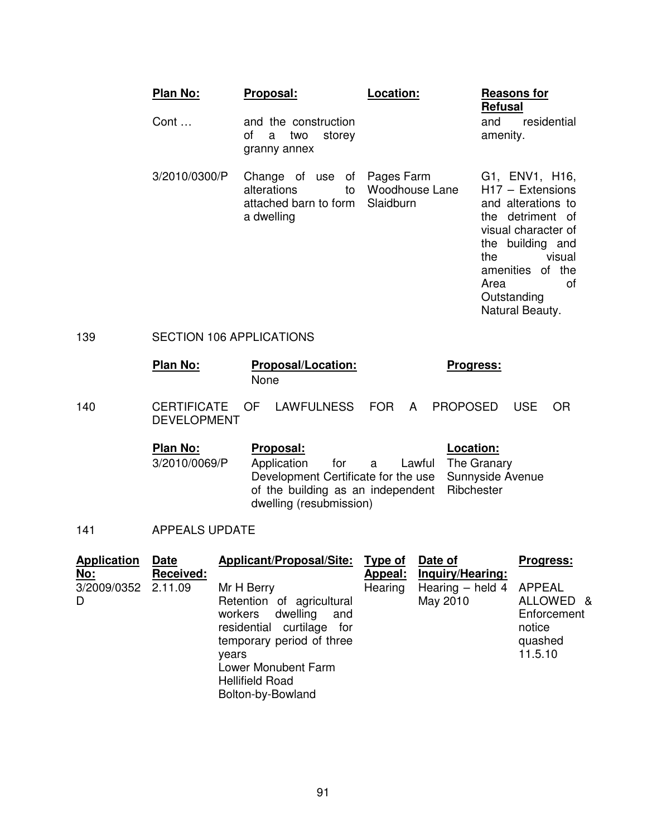|     | Plan No:                        | Proposal:                                                                               | Location:                   | <b>Reasons for</b><br><b>Refusal</b>                                                                                                                                                                           |
|-----|---------------------------------|-----------------------------------------------------------------------------------------|-----------------------------|----------------------------------------------------------------------------------------------------------------------------------------------------------------------------------------------------------------|
|     | Cont                            | and the construction<br>of<br>two<br>storey<br>a<br>granny annex                        |                             | residential<br>and<br>amenity.                                                                                                                                                                                 |
|     | 3/2010/0300/P                   | Change of use of Pages Farm<br>alterations<br>to<br>attached barn to form<br>a dwelling | Woodhouse Lane<br>Slaidburn | G1, ENV1, H16,<br>$H17 - Extensions$<br>and alterations to<br>the detriment of<br>visual character of<br>the building and<br>the<br>visual<br>amenities of the<br>Area<br>0t<br>Outstanding<br>Natural Beauty. |
| 139 | <b>SECTION 106 APPLICATIONS</b> |                                                                                         |                             |                                                                                                                                                                                                                |

**Plan No:** Proposal/Location: Progress: None

140 CERTIFICATE OF LAWFULNESS FOR A PROPOSED USE OR DEVELOPMENT

| Plan No:      | <b>Proposal:</b>                             |  | Location:                                            |
|---------------|----------------------------------------------|--|------------------------------------------------------|
| 3/2010/0069/P | Application                                  |  | for a Lawful The Granary                             |
|               |                                              |  | Development Certificate for the use Sunnyside Avenue |
|               | of the building as an independent Ribchester |  |                                                      |
|               | dwelling (resubmission)                      |  |                                                      |

141 APPEALS UPDATE

| <b>Application</b>                     | <b>Date</b>      | <b>Applicant/Proposal/Site:</b>                                                                                                                                                                                | <u>Type of</u>     | Date of                                                 | <b>Progress:</b>                                         |
|----------------------------------------|------------------|----------------------------------------------------------------------------------------------------------------------------------------------------------------------------------------------------------------|--------------------|---------------------------------------------------------|----------------------------------------------------------|
| <u>No:</u><br>3/2009/0352 2.11.09<br>D | <b>Received:</b> | Mr H Berry<br>Retention of agricultural<br>dwelling<br>workers<br>and<br>residential curtilage for<br>temporary period of three<br>vears<br>Lower Monubent Farm<br><b>Hellifield Road</b><br>Bolton-by-Bowland | Appeal:<br>Hearing | Inquiry/Hearing:<br>Hearing - held 4 APPEAL<br>May 2010 | ALLOWED &<br>Enforcement<br>notice<br>quashed<br>11.5.10 |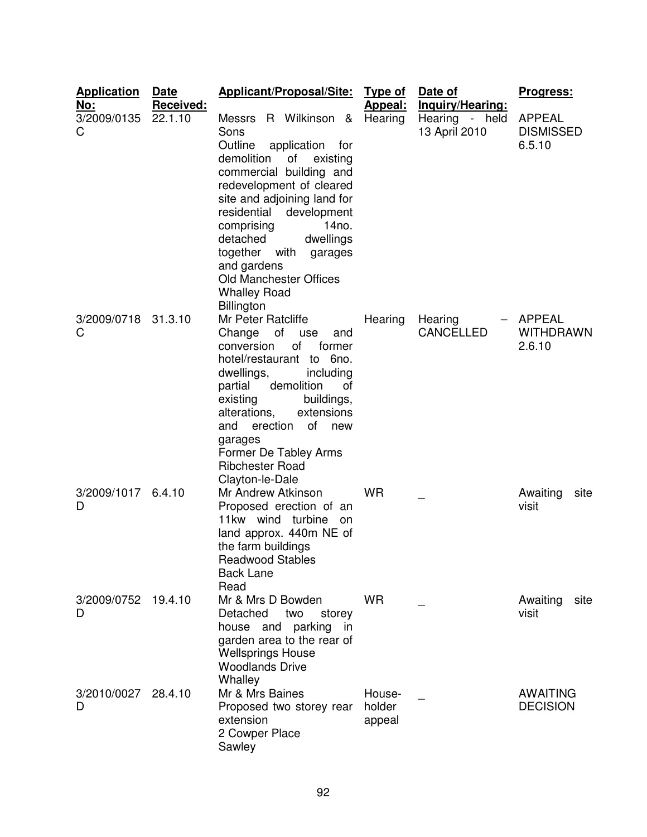| <b>Application</b>             | Date                 | <b>Applicant/Proposal/Site:</b>                                                                                                                                                                                                                                                                                                                                     | <u>Type of</u>             | Date of                                             | <u>Progress:</u>                            |
|--------------------------------|----------------------|---------------------------------------------------------------------------------------------------------------------------------------------------------------------------------------------------------------------------------------------------------------------------------------------------------------------------------------------------------------------|----------------------------|-----------------------------------------------------|---------------------------------------------|
| <u>No:</u><br>3/2009/0135<br>C | Received:<br>22.1.10 | R Wilkinson &<br>Messrs<br>Sons<br>Outline<br>application<br>for<br>demolition<br>of<br>existing<br>commercial building and<br>redevelopment of cleared<br>site and adjoining land for<br>residential<br>development<br>comprising<br>14no.<br>detached<br>dwellings<br>together<br>with<br>garages<br>and gardens<br>Old Manchester Offices<br><b>Whalley Road</b> | <b>Appeal:</b><br>Hearing  | Inquiry/Hearing:<br>Hearing - held<br>13 April 2010 | <b>APPEAL</b><br><b>DISMISSED</b><br>6.5.10 |
| 3/2009/0718<br>C               | 31.3.10              | <b>Billington</b><br>Mr Peter Ratcliffe<br>of<br>Change<br>use<br>and<br>of<br>conversion<br>former<br>hotel/restaurant to 6no.<br>dwellings,<br>including<br>demolition<br>partial<br>οf<br>existing<br>buildings,<br>alterations,<br>extensions<br>of<br>and<br>erection<br>new<br>garages<br>Former De Tabley Arms<br><b>Ribchester Road</b><br>Clayton-le-Dale  | Hearing                    | Hearing<br><b>CANCELLED</b>                         | <b>APPEAL</b><br><b>WITHDRAWN</b><br>2.6.10 |
| 3/2009/1017<br>D               | 6.4.10               | Mr Andrew Atkinson<br>Proposed erection of an<br>11kw wind turbine on<br>land approx. 440m NE of<br>the farm buildings<br><b>Readwood Stables</b><br><b>Back Lane</b><br>Read                                                                                                                                                                                       | <b>WR</b>                  |                                                     | Awaiting<br>site<br>visit                   |
| 3/2009/0752 19.4.10<br>D       |                      | Mr & Mrs D Bowden<br>Detached<br>two<br>storey<br>house and parking<br>in<br>garden area to the rear of<br><b>Wellsprings House</b><br><b>Woodlands Drive</b><br>Whalley                                                                                                                                                                                            | <b>WR</b>                  |                                                     | Awaiting<br>site<br>visit                   |
| 3/2010/0027<br>D               | 28.4.10              | Mr & Mrs Baines<br>Proposed two storey rear<br>extension<br>2 Cowper Place<br>Sawley                                                                                                                                                                                                                                                                                | House-<br>holder<br>appeal |                                                     | <b>AWAITING</b><br><b>DECISION</b>          |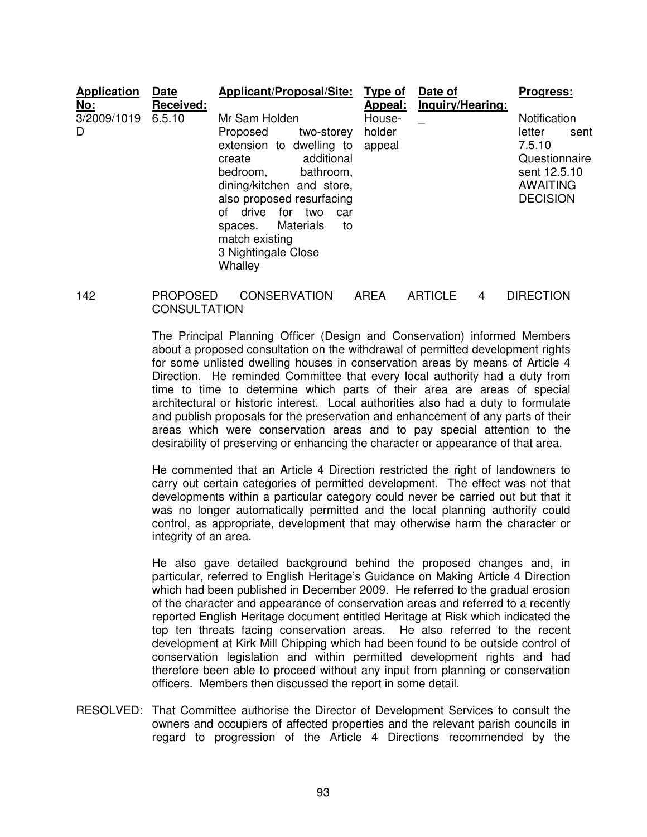| <b>Application</b><br><u>No:</u> | <b>Date</b><br><b>Received:</b> | <b>Applicant/Proposal/Site:</b>                                                                                                                                                                                                                                                                      | <b>Type of</b><br>Appeal:  | Date of<br>Inquiry/Hearing: | <b>Progress:</b>                                                                                                |
|----------------------------------|---------------------------------|------------------------------------------------------------------------------------------------------------------------------------------------------------------------------------------------------------------------------------------------------------------------------------------------------|----------------------------|-----------------------------|-----------------------------------------------------------------------------------------------------------------|
| 3/2009/1019<br>D                 | 6.5.10                          | Mr Sam Holden<br>two-storey<br>Proposed<br>extension to dwelling to<br>additional<br>create<br>bathroom,<br>bedroom,<br>dining/kitchen and store,<br>also proposed resurfacing<br>drive<br>for<br>Ωf<br>two<br>car<br>Materials<br>spaces.<br>to<br>match existing<br>3 Nightingale Close<br>Whalley | House-<br>holder<br>appeal |                             | Notification<br>letter<br>sent<br>7.5.10<br>Questionnaire<br>sent 12.5.10<br><b>AWAITING</b><br><b>DECISION</b> |

# 142 PROPOSED CONSERVATION AREA ARTICLE 4 DIRECTION **CONSULTATION**

The Principal Planning Officer (Design and Conservation) informed Members about a proposed consultation on the withdrawal of permitted development rights for some unlisted dwelling houses in conservation areas by means of Article 4 Direction. He reminded Committee that every local authority had a duty from time to time to determine which parts of their area are areas of special architectural or historic interest. Local authorities also had a duty to formulate and publish proposals for the preservation and enhancement of any parts of their areas which were conservation areas and to pay special attention to the desirability of preserving or enhancing the character or appearance of that area.

He commented that an Article 4 Direction restricted the right of landowners to carry out certain categories of permitted development. The effect was not that developments within a particular category could never be carried out but that it was no longer automatically permitted and the local planning authority could control, as appropriate, development that may otherwise harm the character or integrity of an area.

He also gave detailed background behind the proposed changes and, in particular, referred to English Heritage's Guidance on Making Article 4 Direction which had been published in December 2009. He referred to the gradual erosion of the character and appearance of conservation areas and referred to a recently reported English Heritage document entitled Heritage at Risk which indicated the top ten threats facing conservation areas. He also referred to the recent development at Kirk Mill Chipping which had been found to be outside control of conservation legislation and within permitted development rights and had therefore been able to proceed without any input from planning or conservation officers. Members then discussed the report in some detail.

RESOLVED: That Committee authorise the Director of Development Services to consult the owners and occupiers of affected properties and the relevant parish councils in regard to progression of the Article 4 Directions recommended by the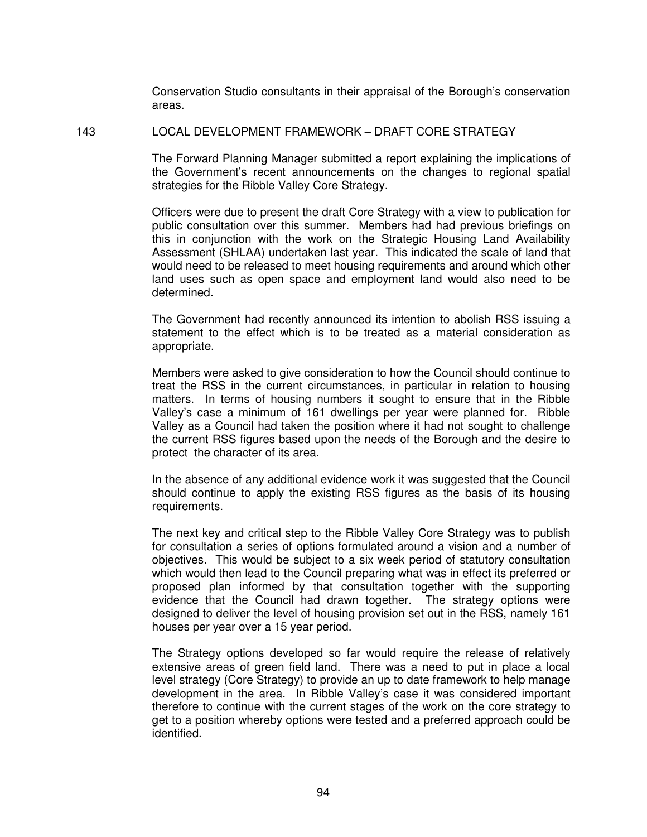Conservation Studio consultants in their appraisal of the Borough's conservation areas.

#### 143 LOCAL DEVELOPMENT FRAMEWORK – DRAFT CORE STRATEGY

The Forward Planning Manager submitted a report explaining the implications of the Government's recent announcements on the changes to regional spatial strategies for the Ribble Valley Core Strategy.

Officers were due to present the draft Core Strategy with a view to publication for public consultation over this summer. Members had had previous briefings on this in conjunction with the work on the Strategic Housing Land Availability Assessment (SHLAA) undertaken last year. This indicated the scale of land that would need to be released to meet housing requirements and around which other land uses such as open space and employment land would also need to be determined.

The Government had recently announced its intention to abolish RSS issuing a statement to the effect which is to be treated as a material consideration as appropriate.

Members were asked to give consideration to how the Council should continue to treat the RSS in the current circumstances, in particular in relation to housing matters. In terms of housing numbers it sought to ensure that in the Ribble Valley's case a minimum of 161 dwellings per year were planned for. Ribble Valley as a Council had taken the position where it had not sought to challenge the current RSS figures based upon the needs of the Borough and the desire to protect the character of its area.

In the absence of any additional evidence work it was suggested that the Council should continue to apply the existing RSS figures as the basis of its housing requirements.

The next key and critical step to the Ribble Valley Core Strategy was to publish for consultation a series of options formulated around a vision and a number of objectives. This would be subject to a six week period of statutory consultation which would then lead to the Council preparing what was in effect its preferred or proposed plan informed by that consultation together with the supporting evidence that the Council had drawn together. The strategy options were designed to deliver the level of housing provision set out in the RSS, namely 161 houses per year over a 15 year period.

The Strategy options developed so far would require the release of relatively extensive areas of green field land. There was a need to put in place a local level strategy (Core Strategy) to provide an up to date framework to help manage development in the area. In Ribble Valley's case it was considered important therefore to continue with the current stages of the work on the core strategy to get to a position whereby options were tested and a preferred approach could be identified.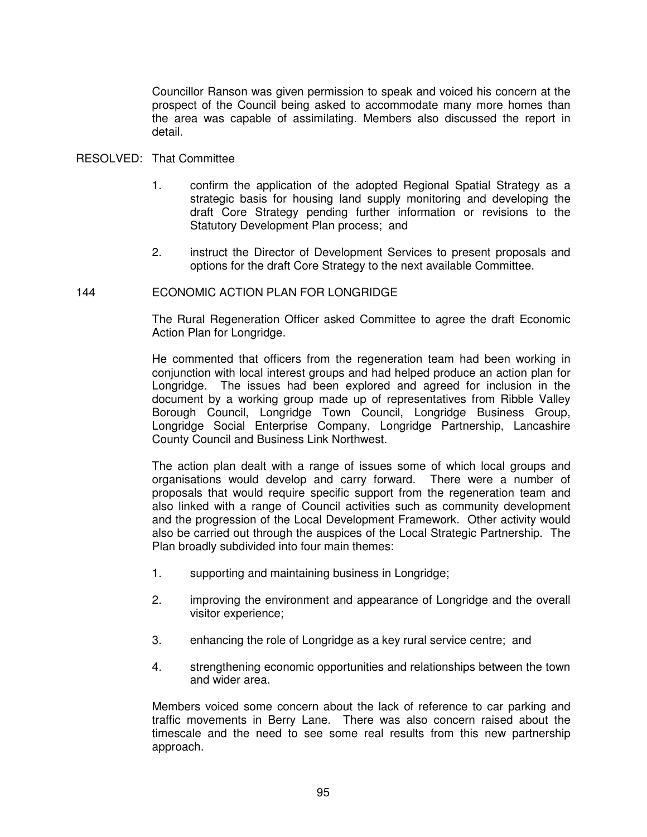Councillor Ranson was given permission to speak and voiced his concern at the prospect of the Council being asked to accommodate many more homes than the area was capable of assimilating. Members also discussed the report in detail.

# RESOLVED: That Committee

- 1. confirm the application of the adopted Regional Spatial Strategy as a strategic basis for housing land supply monitoring and developing the draft Core Strategy pending further information or revisions to the Statutory Development Plan process; and
- 2. instruct the Director of Development Services to present proposals and options for the draft Core Strategy to the next available Committee.

# 144 ECONOMIC ACTION PLAN FOR LONGRIDGE

The Rural Regeneration Officer asked Committee to agree the draft Economic Action Plan for Longridge.

He commented that officers from the regeneration team had been working in conjunction with local interest groups and had helped produce an action plan for Longridge. The issues had been explored and agreed for inclusion in the document by a working group made up of representatives from Ribble Valley Borough Council, Longridge Town Council, Longridge Business Group, Longridge Social Enterprise Company, Longridge Partnership, Lancashire County Council and Business Link Northwest.

The action plan dealt with a range of issues some of which local groups and organisations would develop and carry forward. There were a number of proposals that would require specific support from the regeneration team and also linked with a range of Council activities such as community development and the progression of the Local Development Framework. Other activity would also be carried out through the auspices of the Local Strategic Partnership. The Plan broadly subdivided into four main themes:

- 1. supporting and maintaining business in Longridge;
- 2. improving the environment and appearance of Longridge and the overall visitor experience;
- 3. enhancing the role of Longridge as a key rural service centre; and
- 4. strengthening economic opportunities and relationships between the town and wider area.

Members voiced some concern about the lack of reference to car parking and traffic movements in Berry Lane. There was also concern raised about the timescale and the need to see some real results from this new partnership approach.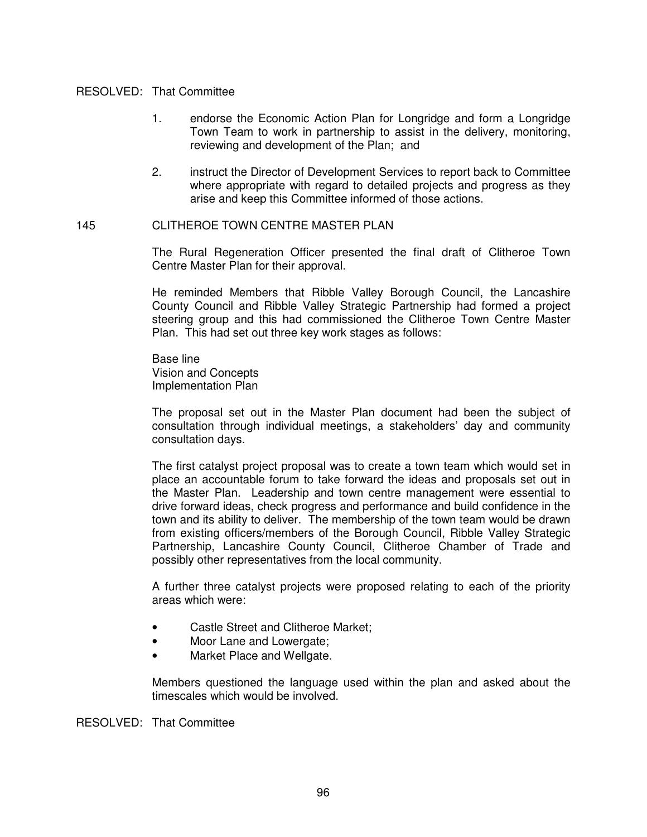### RESOLVED: That Committee

- 1. endorse the Economic Action Plan for Longridge and form a Longridge Town Team to work in partnership to assist in the delivery, monitoring, reviewing and development of the Plan; and
- 2. instruct the Director of Development Services to report back to Committee where appropriate with regard to detailed projects and progress as they arise and keep this Committee informed of those actions.

# 145 CLITHEROE TOWN CENTRE MASTER PLAN

The Rural Regeneration Officer presented the final draft of Clitheroe Town Centre Master Plan for their approval.

He reminded Members that Ribble Valley Borough Council, the Lancashire County Council and Ribble Valley Strategic Partnership had formed a project steering group and this had commissioned the Clitheroe Town Centre Master Plan. This had set out three key work stages as follows:

Base line Vision and Concepts Implementation Plan

The proposal set out in the Master Plan document had been the subject of consultation through individual meetings, a stakeholders' day and community consultation days.

The first catalyst project proposal was to create a town team which would set in place an accountable forum to take forward the ideas and proposals set out in the Master Plan. Leadership and town centre management were essential to drive forward ideas, check progress and performance and build confidence in the town and its ability to deliver. The membership of the town team would be drawn from existing officers/members of the Borough Council, Ribble Valley Strategic Partnership, Lancashire County Council, Clitheroe Chamber of Trade and possibly other representatives from the local community.

A further three catalyst projects were proposed relating to each of the priority areas which were:

- Castle Street and Clitheroe Market;
- Moor Lane and Lowergate:
- Market Place and Wellgate.

Members questioned the language used within the plan and asked about the timescales which would be involved.

RESOLVED: That Committee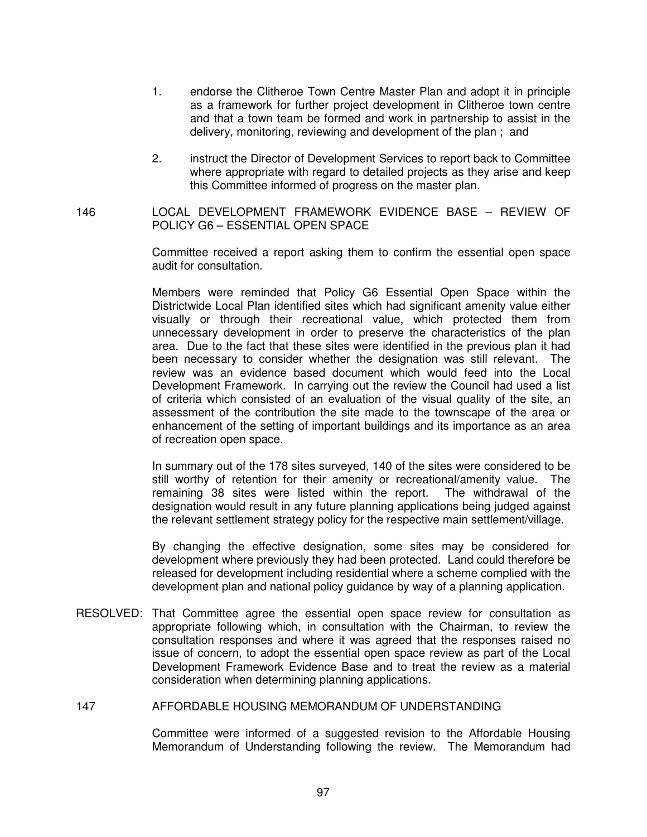- 1. endorse the Clitheroe Town Centre Master Plan and adopt it in principle as a framework for further project development in Clitheroe town centre and that a town team be formed and work in partnership to assist in the delivery, monitoring, reviewing and development of the plan ; and
- 2. instruct the Director of Development Services to report back to Committee where appropriate with regard to detailed projects as they arise and keep this Committee informed of progress on the master plan.

146 LOCAL DEVELOPMENT FRAMEWORK EVIDENCE BASE – REVIEW OF POLICY G6 – ESSENTIAL OPEN SPACE

> Committee received a report asking them to confirm the essential open space audit for consultation.

> Members were reminded that Policy G6 Essential Open Space within the Districtwide Local Plan identified sites which had significant amenity value either visually or through their recreational value, which protected them from unnecessary development in order to preserve the characteristics of the plan area. Due to the fact that these sites were identified in the previous plan it had been necessary to consider whether the designation was still relevant. The review was an evidence based document which would feed into the Local Development Framework. In carrying out the review the Council had used a list of criteria which consisted of an evaluation of the visual quality of the site, an assessment of the contribution the site made to the townscape of the area or enhancement of the setting of important buildings and its importance as an area of recreation open space.

> In summary out of the 178 sites surveyed, 140 of the sites were considered to be still worthy of retention for their amenity or recreational/amenity value. The remaining 38 sites were listed within the report. The withdrawal of the designation would result in any future planning applications being judged against the relevant settlement strategy policy for the respective main settlement/village.

> By changing the effective designation, some sites may be considered for development where previously they had been protected. Land could therefore be released for development including residential where a scheme complied with the development plan and national policy guidance by way of a planning application.

RESOLVED: That Committee agree the essential open space review for consultation as appropriate following which, in consultation with the Chairman, to review the consultation responses and where it was agreed that the responses raised no issue of concern, to adopt the essential open space review as part of the Local Development Framework Evidence Base and to treat the review as a material consideration when determining planning applications.

#### 147 AFFORDABLE HOUSING MEMORANDUM OF UNDERSTANDING

Committee were informed of a suggested revision to the Affordable Housing Memorandum of Understanding following the review. The Memorandum had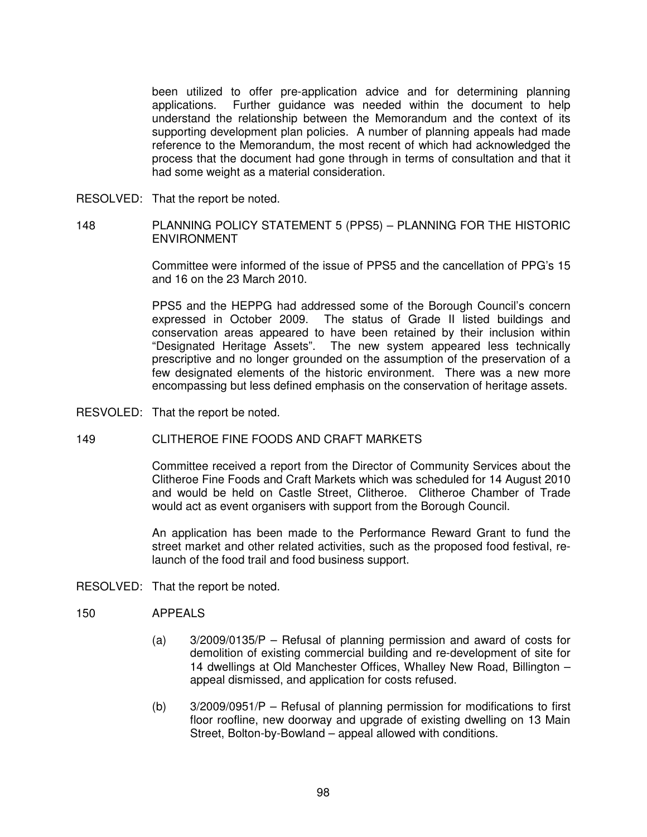been utilized to offer pre-application advice and for determining planning applications. Further guidance was needed within the document to help understand the relationship between the Memorandum and the context of its supporting development plan policies. A number of planning appeals had made reference to the Memorandum, the most recent of which had acknowledged the process that the document had gone through in terms of consultation and that it had some weight as a material consideration.

- RESOLVED: That the report be noted.
- 148 PLANNING POLICY STATEMENT 5 (PPS5) PLANNING FOR THE HISTORIC ENVIRONMENT

Committee were informed of the issue of PPS5 and the cancellation of PPG's 15 and 16 on the 23 March 2010.

PPS5 and the HEPPG had addressed some of the Borough Council's concern expressed in October 2009. The status of Grade II listed buildings and conservation areas appeared to have been retained by their inclusion within "Designated Heritage Assets". The new system appeared less technically prescriptive and no longer grounded on the assumption of the preservation of a few designated elements of the historic environment. There was a new more encompassing but less defined emphasis on the conservation of heritage assets.

RESVOLED: That the report be noted.

# 149 CLITHEROE FINE FOODS AND CRAFT MARKETS

Committee received a report from the Director of Community Services about the Clitheroe Fine Foods and Craft Markets which was scheduled for 14 August 2010 and would be held on Castle Street, Clitheroe. Clitheroe Chamber of Trade would act as event organisers with support from the Borough Council.

An application has been made to the Performance Reward Grant to fund the street market and other related activities, such as the proposed food festival, relaunch of the food trail and food business support.

RESOLVED: That the report be noted.

# 150 APPEALS

- (a) 3/2009/0135/P Refusal of planning permission and award of costs for demolition of existing commercial building and re-development of site for 14 dwellings at Old Manchester Offices, Whalley New Road, Billington – appeal dismissed, and application for costs refused.
- (b) 3/2009/0951/P Refusal of planning permission for modifications to first floor roofline, new doorway and upgrade of existing dwelling on 13 Main Street, Bolton-by-Bowland – appeal allowed with conditions.